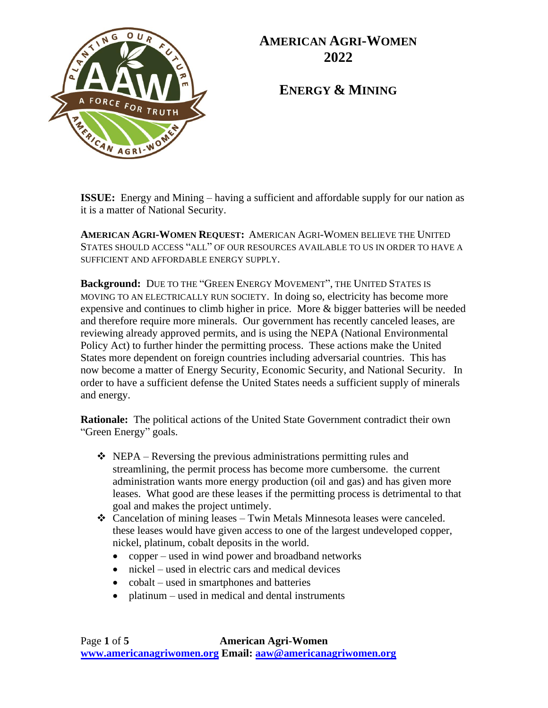

**ENERGY & MINING**

**ISSUE:** Energy and Mining – having a sufficient and affordable supply for our nation as it is a matter of National Security.

**AMERICAN AGRI-WOMEN REQUEST:** AMERICAN AGRI-WOMEN BELIEVE THE UNITED STATES SHOULD ACCESS "ALL" OF OUR RESOURCES AVAILABLE TO US IN ORDER TO HAVE A SUFFICIENT AND AFFORDABLE ENERGY SUPPLY.

**Background:** DUE TO THE "GREEN ENERGY MOVEMENT", THE UNITED STATES IS MOVING TO AN ELECTRICALLY RUN SOCIETY. In doing so, electricity has become more expensive and continues to climb higher in price. More & bigger batteries will be needed and therefore require more minerals. Our government has recently canceled leases, are reviewing already approved permits, and is using the NEPA (National Environmental Policy Act) to further hinder the permitting process. These actions make the United States more dependent on foreign countries including adversarial countries. This has now become a matter of Energy Security, Economic Security, and National Security. In order to have a sufficient defense the United States needs a sufficient supply of minerals and energy.

**Rationale:** The political actions of the United State Government contradict their own "Green Energy" goals.

- $\triangleleft$  NEPA Reversing the previous administrations permitting rules and streamlining, the permit process has become more cumbersome. the current administration wants more energy production (oil and gas) and has given more leases. What good are these leases if the permitting process is detrimental to that goal and makes the project untimely.
- ❖ Cancelation of mining leases Twin Metals Minnesota leases were canceled. these leases would have given access to one of the largest undeveloped copper, nickel, platinum, cobalt deposits in the world.
	- copper used in wind power and broadband networks
	- nickel used in electric cars and medical devices
	- cobalt used in smartphones and batteries
	- platinum used in medical and dental instruments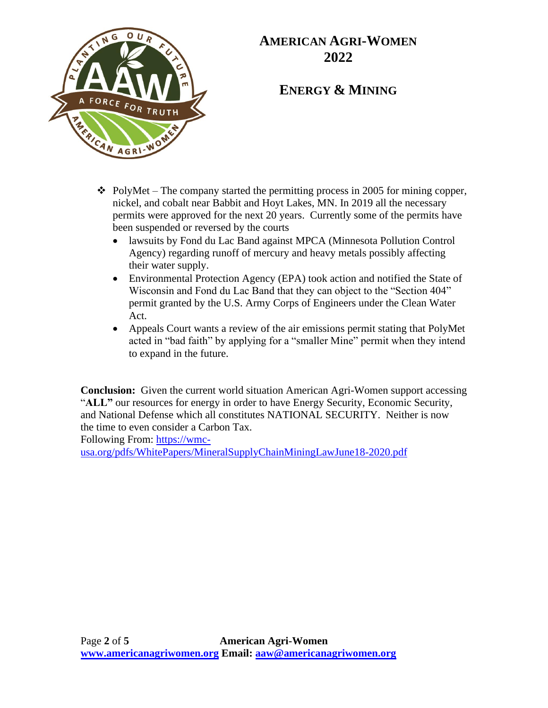

### **ENERGY & MINING**

- $\div$  PolyMet The company started the permitting process in 2005 for mining copper, nickel, and cobalt near Babbit and Hoyt Lakes, MN. In 2019 all the necessary permits were approved for the next 20 years. Currently some of the permits have been suspended or reversed by the courts
	- lawsuits by Fond du Lac Band against MPCA (Minnesota Pollution Control Agency) regarding runoff of mercury and heavy metals possibly affecting their water supply.
	- Environmental Protection Agency (EPA) took action and notified the State of Wisconsin and Fond du Lac Band that they can object to the "Section 404" permit granted by the U.S. Army Corps of Engineers under the Clean Water Act.
	- Appeals Court wants a review of the air emissions permit stating that PolyMet acted in "bad faith" by applying for a "smaller Mine" permit when they intend to expand in the future.

**Conclusion:** Given the current world situation American Agri-Women support accessing "**ALL"** our resources for energy in order to have Energy Security, Economic Security, and National Defense which all constitutes NATIONAL SECURITY. Neither is now the time to even consider a Carbon Tax.

Following From: [https://wmc-](https://wmc-usa.org/pdfs/WhitePapers/MineralSupplyChainMiningLawJune18-2020.pdf)

[usa.org/pdfs/WhitePapers/MineralSupplyChainMiningLawJune18-2020.pdf](https://wmc-usa.org/pdfs/WhitePapers/MineralSupplyChainMiningLawJune18-2020.pdf)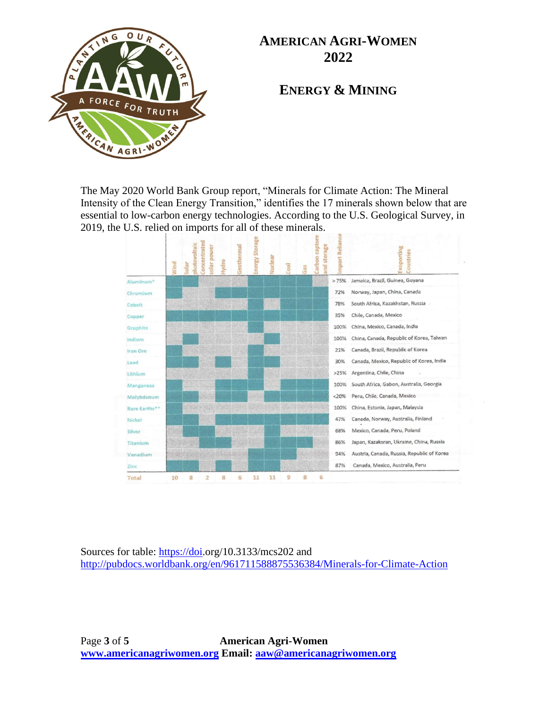

**ENERGY & MINING**

The May 2020 World Bank Group report, "Minerals for Climate Action: The Mineral Intensity of the Clean Energy Transition," identifies the 17 minerals shown below that are essential to low-carbon energy technologies. According to the U.S. Geological Survey, in 2019, the U.S. relied on imports for all of these minerals.



Sources for table: [https://doi.](https://doi/)org/10.3133/mcs202 and <http://pubdocs.worldbank.org/en/961711588875536384/Minerals-for-Climate-Action>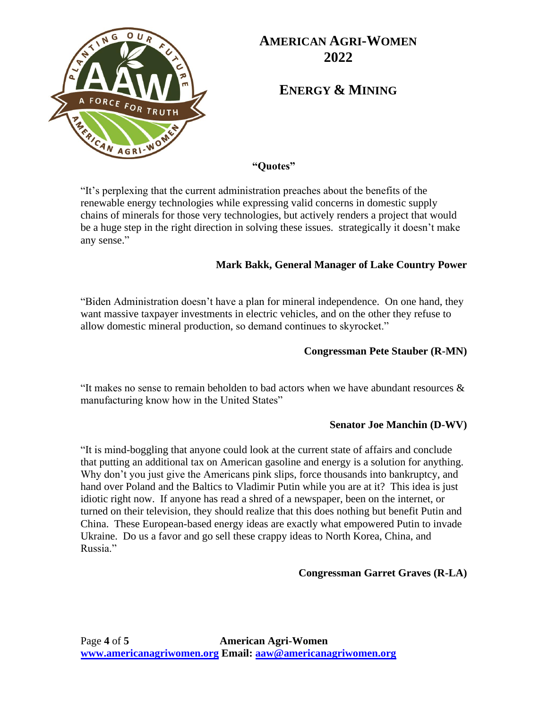

**ENERGY & MINING**

**"Quotes"**

"It's perplexing that the current administration preaches about the benefits of the renewable energy technologies while expressing valid concerns in domestic supply chains of minerals for those very technologies, but actively renders a project that would be a huge step in the right direction in solving these issues. strategically it doesn't make any sense."

### **Mark Bakk, General Manager of Lake Country Power**

"Biden Administration doesn't have a plan for mineral independence. On one hand, they want massive taxpayer investments in electric vehicles, and on the other they refuse to allow domestic mineral production, so demand continues to skyrocket."

### **Congressman Pete Stauber (R-MN)**

"It makes no sense to remain beholden to bad actors when we have abundant resources & manufacturing know how in the United States"

### **Senator Joe Manchin (D-WV)**

"It is mind-boggling that anyone could look at the current state of affairs and conclude that putting an additional tax on American gasoline and energy is a solution for anything. Why don't you just give the Americans pink slips, force thousands into bankruptcy, and hand over Poland and the Baltics to Vladimir Putin while you are at it? This idea is just idiotic right now. If anyone has read a shred of a newspaper, been on the internet, or turned on their television, they should realize that this does nothing but benefit Putin and China. These European-based energy ideas are exactly what empowered Putin to invade Ukraine. Do us a favor and go sell these crappy ideas to North Korea, China, and Russia."

### **Congressman Garret Graves (R-LA)**